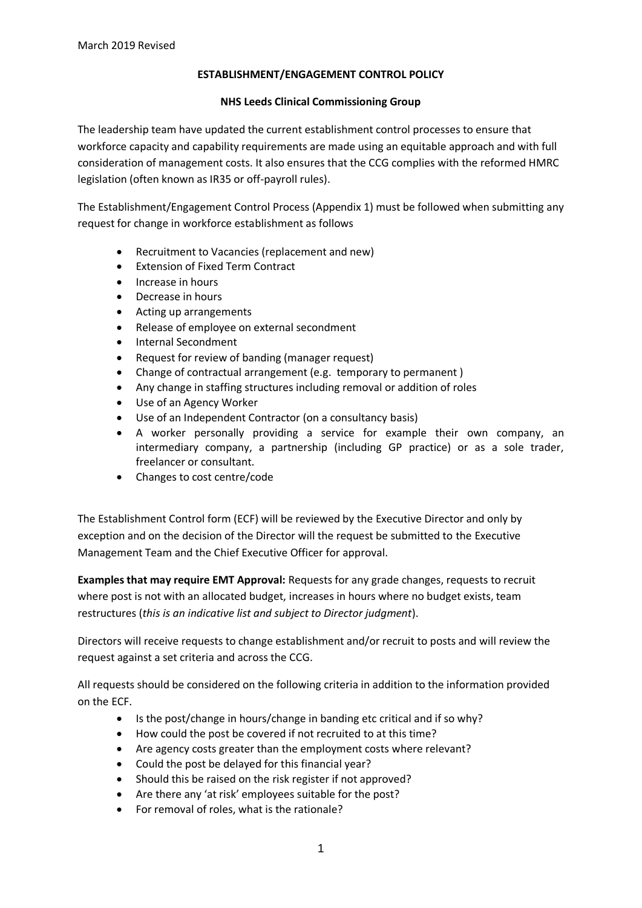### **ESTABLISHMENT/ENGAGEMENT CONTROL POLICY**

#### **NHS Leeds Clinical Commissioning Group**

The leadership team have updated the current establishment control processes to ensure that workforce capacity and capability requirements are made using an equitable approach and with full consideration of management costs. It also ensures that the CCG complies with the reformed HMRC legislation (often known as IR35 or off-payroll rules).

The Establishment/Engagement Control Process (Appendix 1) must be followed when submitting any request for change in workforce establishment as follows

- Recruitment to Vacancies (replacement and new)
- Extension of Fixed Term Contract
- Increase in hours
- Decrease in hours
- Acting up arrangements
- Release of employee on external secondment
- Internal Secondment
- Request for review of banding (manager request)
- Change of contractual arrangement (e.g. temporary to permanent )
- Any change in staffing structures including removal or addition of roles
- Use of an Agency Worker
- Use of an Independent Contractor (on a consultancy basis)
- A worker personally providing a service for example their own company, an intermediary company, a partnership (including GP practice) or as a sole trader, freelancer or consultant.
- Changes to cost centre/code

The Establishment Control form (ECF) will be reviewed by the Executive Director and only by exception and on the decision of the Director will the request be submitted to the Executive Management Team and the Chief Executive Officer for approval.

**Examples that may require EMT Approval:** Requests for any grade changes, requests to recruit where post is not with an allocated budget, increases in hours where no budget exists, team restructures (*this is an indicative list and subject to Director judgment*).

Directors will receive requests to change establishment and/or recruit to posts and will review the request against a set criteria and across the CCG.

All requests should be considered on the following criteria in addition to the information provided on the ECF.

- Is the post/change in hours/change in banding etc critical and if so why?
- How could the post be covered if not recruited to at this time?
- Are agency costs greater than the employment costs where relevant?
- Could the post be delayed for this financial year?
- Should this be raised on the risk register if not approved?
- Are there any 'at risk' employees suitable for the post?
- For removal of roles, what is the rationale?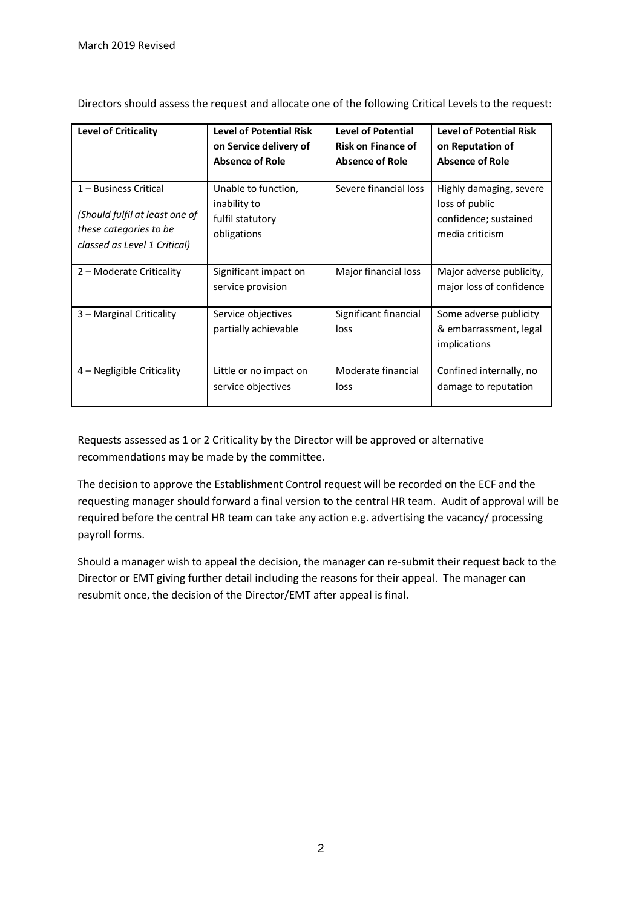| <b>Level of Criticality</b>    | <b>Level of Potential Risk</b>             | <b>Level of Potential</b>     | <b>Level of Potential Risk</b>                                   |
|--------------------------------|--------------------------------------------|-------------------------------|------------------------------------------------------------------|
|                                | on Service delivery of                     | <b>Risk on Finance of</b>     | on Reputation of                                                 |
|                                | <b>Absence of Role</b>                     | <b>Absence of Role</b>        | <b>Absence of Role</b>                                           |
| 1 – Business Critical          | Unable to function,                        | Severe financial loss         | Highly damaging, severe                                          |
| (Should fulfil at least one of | inability to                               |                               | loss of public                                                   |
| these categories to be         | fulfil statutory                           |                               | confidence; sustained                                            |
| classed as Level 1 Critical)   | obligations                                |                               | media criticism                                                  |
| 2 – Moderate Criticality       | Significant impact on<br>service provision | Major financial loss          | Major adverse publicity,<br>major loss of confidence             |
| 3 – Marginal Criticality       | Service objectives<br>partially achievable | Significant financial<br>loss | Some adverse publicity<br>& embarrassment, legal<br>implications |
| 4 – Negligible Criticality     | Little or no impact on                     | Moderate financial            | Confined internally, no                                          |
|                                | service objectives                         | loss                          | damage to reputation                                             |

Directors should assess the request and allocate one of the following Critical Levels to the request:

Requests assessed as 1 or 2 Criticality by the Director will be approved or alternative recommendations may be made by the committee.

The decision to approve the Establishment Control request will be recorded on the ECF and the requesting manager should forward a final version to the central HR team. Audit of approval will be required before the central HR team can take any action e.g. advertising the vacancy/ processing payroll forms.

Should a manager wish to appeal the decision, the manager can re-submit their request back to the Director or EMT giving further detail including the reasons for their appeal. The manager can resubmit once, the decision of the Director/EMT after appeal is final.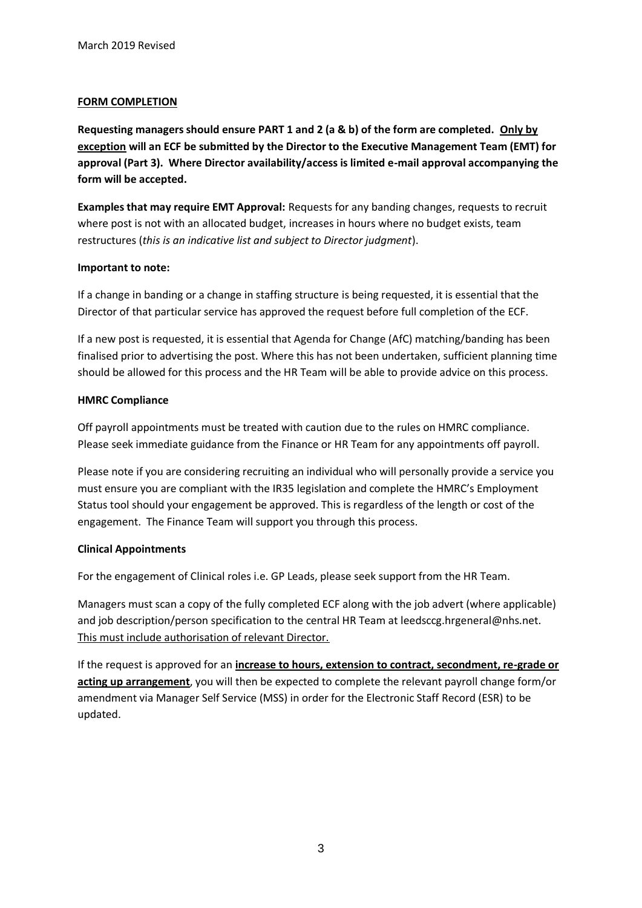### **FORM COMPLETION**

**Requesting managers should ensure PART 1 and 2 (a & b) of the form are completed. Only by exception will an ECF be submitted by the Director to the Executive Management Team (EMT) for approval (Part 3). Where Director availability/access is limited e-mail approval accompanying the form will be accepted.**

**Examples that may require EMT Approval:** Requests for any banding changes, requests to recruit where post is not with an allocated budget, increases in hours where no budget exists, team restructures (*this is an indicative list and subject to Director judgment*).

### **Important to note:**

If a change in banding or a change in staffing structure is being requested, it is essential that the Director of that particular service has approved the request before full completion of the ECF.

If a new post is requested, it is essential that Agenda for Change (AfC) matching/banding has been finalised prior to advertising the post. Where this has not been undertaken, sufficient planning time should be allowed for this process and the HR Team will be able to provide advice on this process.

### **HMRC Compliance**

Off payroll appointments must be treated with caution due to the rules on HMRC compliance. Please seek immediate guidance from the Finance or HR Team for any appointments off payroll.

Please note if you are considering recruiting an individual who will personally provide a service you must ensure you are compliant with the IR35 legislation and complete the HMRC's Employment Status tool should your engagement be approved. This is regardless of the length or cost of the engagement. The Finance Team will support you through this process.

# **Clinical Appointments**

For the engagement of Clinical roles i.e. GP Leads, please seek support from the HR Team.

Managers must scan a copy of the fully completed ECF along with the job advert (where applicable) and job description/person specification to the central HR Team at leedsccg.hrgeneral@nhs.net. This must include authorisation of relevant Director.

If the request is approved for an **increase to hours, extension to contract, secondment, re-grade or acting up arrangement**, you will then be expected to complete the relevant payroll change form/or amendment via Manager Self Service (MSS) in order for the Electronic Staff Record (ESR) to be updated.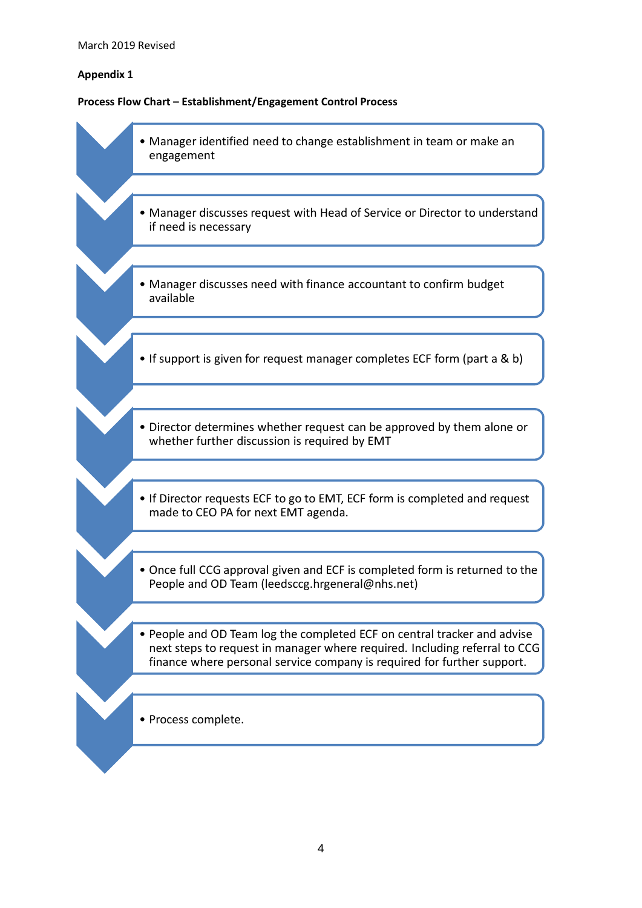# **Appendix 1**

# **Process Flow Chart – Establishment/Engagement Control Process**

| • Manager identified need to change establishment in team or make an<br>engagement                                                                                                                                                |
|-----------------------------------------------------------------------------------------------------------------------------------------------------------------------------------------------------------------------------------|
|                                                                                                                                                                                                                                   |
| • Manager discusses request with Head of Service or Director to understand<br>if need is necessary                                                                                                                                |
|                                                                                                                                                                                                                                   |
| • Manager discusses need with finance accountant to confirm budget<br>available                                                                                                                                                   |
|                                                                                                                                                                                                                                   |
| • If support is given for request manager completes ECF form (part a & b)                                                                                                                                                         |
|                                                                                                                                                                                                                                   |
| • Director determines whether request can be approved by them alone or<br>whether further discussion is required by EMT                                                                                                           |
|                                                                                                                                                                                                                                   |
| • If Director requests ECF to go to EMT, ECF form is completed and request<br>made to CEO PA for next EMT agenda.                                                                                                                 |
|                                                                                                                                                                                                                                   |
| • Once full CCG approval given and ECF is completed form is returned to the<br>People and OD Team (leedsccg.hrgeneral@nhs.net)                                                                                                    |
|                                                                                                                                                                                                                                   |
| . People and OD Team log the completed ECF on central tracker and advise<br>next steps to request in manager where required. Including referral to CCG<br>finance where personal service company is required for further support. |
|                                                                                                                                                                                                                                   |
| • Process complete.                                                                                                                                                                                                               |
|                                                                                                                                                                                                                                   |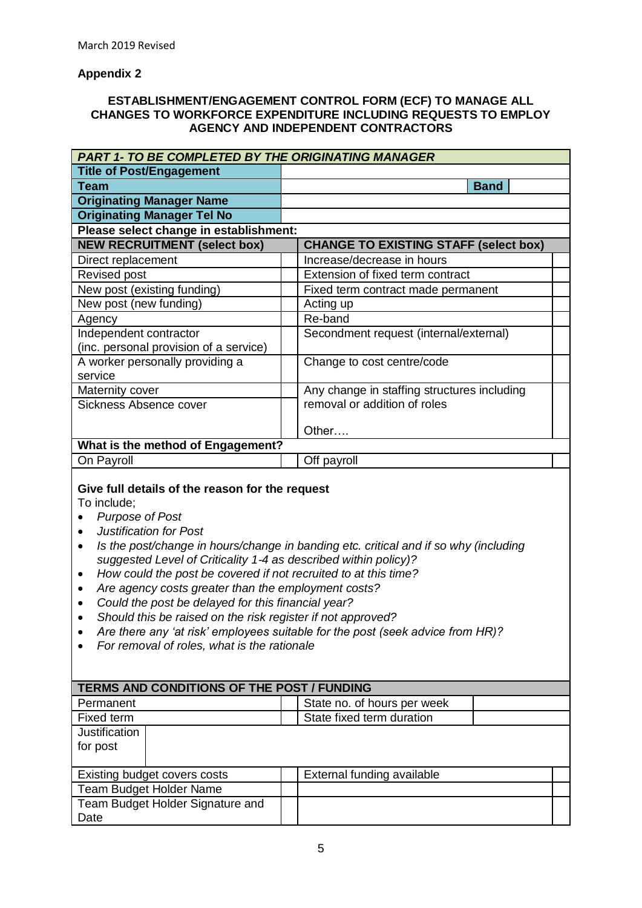# **Appendix 2**

### **ESTABLISHMENT/ENGAGEMENT CONTROL FORM (ECF) TO MANAGE ALL CHANGES TO WORKFORCE EXPENDITURE INCLUDING REQUESTS TO EMPLOY AGENCY AND INDEPENDENT CONTRACTORS**

| <b>PART 1- TO BE COMPLETED BY THE ORIGINATING MANAGER</b>                                                                                                                                                                                                                                                                                                                                                                                                                                                                                                                |                                                                                                                                                                        |  |
|--------------------------------------------------------------------------------------------------------------------------------------------------------------------------------------------------------------------------------------------------------------------------------------------------------------------------------------------------------------------------------------------------------------------------------------------------------------------------------------------------------------------------------------------------------------------------|------------------------------------------------------------------------------------------------------------------------------------------------------------------------|--|
| <b>Title of Post/Engagement</b>                                                                                                                                                                                                                                                                                                                                                                                                                                                                                                                                          |                                                                                                                                                                        |  |
| <b>Team</b>                                                                                                                                                                                                                                                                                                                                                                                                                                                                                                                                                              | <b>Band</b>                                                                                                                                                            |  |
| <b>Originating Manager Name</b>                                                                                                                                                                                                                                                                                                                                                                                                                                                                                                                                          |                                                                                                                                                                        |  |
| <b>Originating Manager Tel No</b>                                                                                                                                                                                                                                                                                                                                                                                                                                                                                                                                        |                                                                                                                                                                        |  |
| Please select change in establishment:                                                                                                                                                                                                                                                                                                                                                                                                                                                                                                                                   |                                                                                                                                                                        |  |
| <b>NEW RECRUITMENT (select box)</b>                                                                                                                                                                                                                                                                                                                                                                                                                                                                                                                                      | <b>CHANGE TO EXISTING STAFF (select box)</b>                                                                                                                           |  |
| Direct replacement                                                                                                                                                                                                                                                                                                                                                                                                                                                                                                                                                       | Increase/decrease in hours                                                                                                                                             |  |
| <b>Revised post</b>                                                                                                                                                                                                                                                                                                                                                                                                                                                                                                                                                      | Extension of fixed term contract                                                                                                                                       |  |
| New post (existing funding)                                                                                                                                                                                                                                                                                                                                                                                                                                                                                                                                              | Fixed term contract made permanent                                                                                                                                     |  |
| New post (new funding)                                                                                                                                                                                                                                                                                                                                                                                                                                                                                                                                                   | Acting up                                                                                                                                                              |  |
| Agency                                                                                                                                                                                                                                                                                                                                                                                                                                                                                                                                                                   | Re-band                                                                                                                                                                |  |
| Independent contractor                                                                                                                                                                                                                                                                                                                                                                                                                                                                                                                                                   | Secondment request (internal/external)                                                                                                                                 |  |
| (inc. personal provision of a service)                                                                                                                                                                                                                                                                                                                                                                                                                                                                                                                                   |                                                                                                                                                                        |  |
| A worker personally providing a                                                                                                                                                                                                                                                                                                                                                                                                                                                                                                                                          | Change to cost centre/code                                                                                                                                             |  |
| service                                                                                                                                                                                                                                                                                                                                                                                                                                                                                                                                                                  |                                                                                                                                                                        |  |
| Maternity cover                                                                                                                                                                                                                                                                                                                                                                                                                                                                                                                                                          | Any change in staffing structures including                                                                                                                            |  |
| Sickness Absence cover                                                                                                                                                                                                                                                                                                                                                                                                                                                                                                                                                   | removal or addition of roles                                                                                                                                           |  |
|                                                                                                                                                                                                                                                                                                                                                                                                                                                                                                                                                                          |                                                                                                                                                                        |  |
|                                                                                                                                                                                                                                                                                                                                                                                                                                                                                                                                                                          | Other                                                                                                                                                                  |  |
| What is the method of Engagement?                                                                                                                                                                                                                                                                                                                                                                                                                                                                                                                                        |                                                                                                                                                                        |  |
| On Payroll                                                                                                                                                                                                                                                                                                                                                                                                                                                                                                                                                               | Off payroll                                                                                                                                                            |  |
| Give full details of the reason for the request<br>To include;<br><b>Purpose of Post</b><br>$\bullet$<br><b>Justification for Post</b><br>$\bullet$<br>$\bullet$<br>suggested Level of Criticality 1-4 as described within policy)?<br>How could the post be covered if not recruited to at this time?<br>$\bullet$<br>Are agency costs greater than the employment costs?<br>$\bullet$<br>Could the post be delayed for this financial year?<br>$\bullet$<br>Should this be raised on the risk register if not approved?<br>For removal of roles, what is the rationale | Is the post/change in hours/change in banding etc. critical and if so why (including<br>Are there any 'at risk' employees suitable for the post (seek advice from HR)? |  |
| TERMS AND CONDITIONS OF THE POST / FUNDING                                                                                                                                                                                                                                                                                                                                                                                                                                                                                                                               |                                                                                                                                                                        |  |
| Permanent                                                                                                                                                                                                                                                                                                                                                                                                                                                                                                                                                                | State no. of hours per week                                                                                                                                            |  |
| Fixed term                                                                                                                                                                                                                                                                                                                                                                                                                                                                                                                                                               | State fixed term duration                                                                                                                                              |  |
| Justification<br>for post                                                                                                                                                                                                                                                                                                                                                                                                                                                                                                                                                |                                                                                                                                                                        |  |
| Existing budget covers costs                                                                                                                                                                                                                                                                                                                                                                                                                                                                                                                                             | External funding available                                                                                                                                             |  |
| <b>Team Budget Holder Name</b>                                                                                                                                                                                                                                                                                                                                                                                                                                                                                                                                           |                                                                                                                                                                        |  |
| Team Budget Holder Signature and                                                                                                                                                                                                                                                                                                                                                                                                                                                                                                                                         |                                                                                                                                                                        |  |
| Date                                                                                                                                                                                                                                                                                                                                                                                                                                                                                                                                                                     |                                                                                                                                                                        |  |